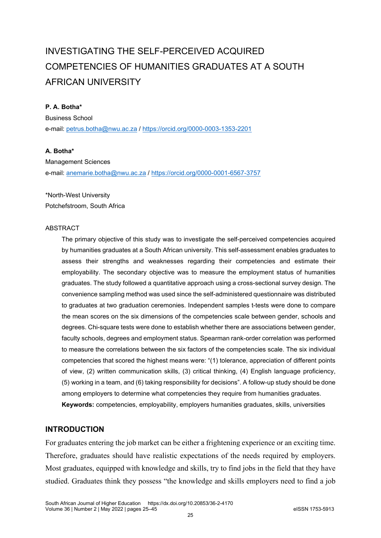# INVESTIGATING THE SELF-PERCEIVED ACQUIRED COMPETENCIES OF HUMANITIES GRADUATES AT A SOUTH AFRICAN UNIVERSITY

# **P. A. Botha\***

Business School e-mail: petrus.botha@nwu.ac.za /<https://orcid.org/0000-0003-1353-2201>

# **A. Botha\***

Management Sciences e-mail: [anemarie.botha@nwu.ac.za](mailto:anemarie.botha@nwu.ac.za) /<https://orcid.org/0000-0001-6567-3757>

\*North-West University Potchefstroom, South Africa

#### ABSTRACT

The primary objective of this study was to investigate the self-perceived competencies acquired by humanities graduates at a South African university. This self-assessment enables graduates to assess their strengths and weaknesses regarding their competencies and estimate their employability. The secondary objective was to measure the employment status of humanities graduates. The study followed a quantitative approach using a cross-sectional survey design. The convenience sampling method was used since the self-administered questionnaire was distributed to graduates at two graduation ceremonies. Independent samples t-tests were done to compare the mean scores on the six dimensions of the competencies scale between gender, schools and degrees. Chi-square tests were done to establish whether there are associations between gender, faculty schools, degrees and employment status. Spearman rank-order correlation was performed to measure the correlations between the six factors of the competencies scale. The six individual competencies that scored the highest means were: "(1) tolerance, appreciation of different points of view, (2) written communication skills, (3) critical thinking, (4) English language proficiency, (5) working in a team, and (6) taking responsibility for decisions". A follow-up study should be done among employers to determine what competencies they require from humanities graduates. **Keywords:** competencies, employability, employers humanities graduates, skills, universities

# **INTRODUCTION**

For graduates entering the job market can be either a frightening experience or an exciting time. Therefore, graduates should have realistic expectations of the needs required by employers. Most graduates, equipped with knowledge and skills, try to find jobs in the field that they have studied. Graduates think they possess "the knowledge and skills employers need to find a job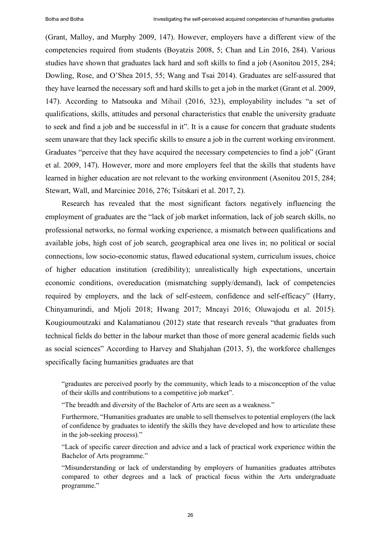(Grant, Malloy, and Murphy 2009, 147). However, employers have a different view of the competencies required from students (Boyatzis 2008, 5; Chan and Lin 2016, 284). Various studies have shown that graduates lack hard and soft skills to find a job (Asonitou 2015, 284; Dowling, Rose, and O'Shea 2015, 55; Wang and Tsai 2014). Graduates are self-assured that they have learned the necessary soft and hard skills to get a job in the market (Grant et al. 2009, 147). According to Matsouka and Mihail (2016, 323), employability includes "a set of qualifications, skills, attitudes and personal characteristics that enable the university graduate to seek and find a job and be successful in it". It is a cause for concern that graduate students seem unaware that they lack specific skills to ensure a job in the current working environment. Graduates "perceive that they have acquired the necessary competencies to find a job" (Grant et al. 2009, 147). However, more and more employers feel that the skills that students have learned in higher education are not relevant to the working environment (Asonitou 2015, 284; Stewart, Wall, and Marciniec 2016, 276; Tsitskari et al. 2017, 2).

Research has revealed that the most significant factors negatively influencing the employment of graduates are the "lack of job market information, lack of job search skills, no professional networks, no formal working experience, a mismatch between qualifications and available jobs, high cost of job search, geographical area one lives in; no political or social connections, low socio-economic status, flawed educational system, curriculum issues, choice of higher education institution (credibility); unrealistically high expectations, uncertain economic conditions, overeducation (mismatching supply/demand), lack of competencies required by employers, and the lack of self-esteem, confidence and self-efficacy" (Harry, Chinyamurindi, and Mjoli 2018; Hwang 2017; Mncayi 2016; Oluwajodu et al. 2015). Kougioumoutzaki and Kalamatianou (2012) state that research reveals "that graduates from technical fields do better in the labour market than those of more general academic fields such as social sciences" According to Harvey and Shahjahan (2013, 5), the workforce challenges specifically facing humanities graduates are that

"graduates are perceived poorly by the community, which leads to a misconception of the value of their skills and contributions to a competitive job market".

"The breadth and diversity of the Bachelor of Arts are seen as a weakness."

Furthermore, "Humanities graduates are unable to sell themselves to potential employers (the lack of confidence by graduates to identify the skills they have developed and how to articulate these in the job-seeking process)."

"Lack of specific career direction and advice and a lack of practical work experience within the Bachelor of Arts programme."

"Misunderstanding or lack of understanding by employers of humanities graduates attributes compared to other degrees and a lack of practical focus within the Arts undergraduate programme."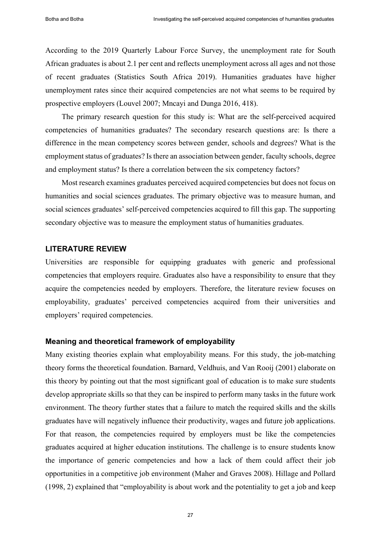According to the 2019 Quarterly Labour Force Survey, the unemployment rate for South African graduates is about 2.1 per cent and reflects unemployment across all ages and not those of recent graduates (Statistics South Africa 2019). Humanities graduates have higher unemployment rates since their acquired competencies are not what seems to be required by prospective employers (Louvel 2007; Mncayi and Dunga 2016, 418).

The primary research question for this study is: What are the self-perceived acquired competencies of humanities graduates? The secondary research questions are: Is there a difference in the mean competency scores between gender, schools and degrees? What is the employment status of graduates? Is there an association between gender, faculty schools, degree and employment status? Is there a correlation between the six competency factors?

Most research examines graduates perceived acquired competencies but does not focus on humanities and social sciences graduates. The primary objective was to measure human, and social sciences graduates' self-perceived competencies acquired to fill this gap. The supporting secondary objective was to measure the employment status of humanities graduates.

# **LITERATURE REVIEW**

Universities are responsible for equipping graduates with generic and professional competencies that employers require. Graduates also have a responsibility to ensure that they acquire the competencies needed by employers. Therefore, the literature review focuses on employability, graduates' perceived competencies acquired from their universities and employers' required competencies.

## **Meaning and theoretical framework of employability**

Many existing theories explain what employability means. For this study, the job-matching theory forms the theoretical foundation. Barnard, Veldhuis, and Van Rooij (2001) elaborate on this theory by pointing out that the most significant goal of education is to make sure students develop appropriate skills so that they can be inspired to perform many tasks in the future work environment. The theory further states that a failure to match the required skills and the skills graduates have will negatively influence their productivity, wages and future job applications. For that reason, the competencies required by employers must be like the competencies graduates acquired at higher education institutions. The challenge is to ensure students know the importance of generic competencies and how a lack of them could affect their job opportunities in a competitive job environment (Maher and Graves 2008). Hillage and Pollard (1998, 2) explained that "employability is about work and the potentiality to get a job and keep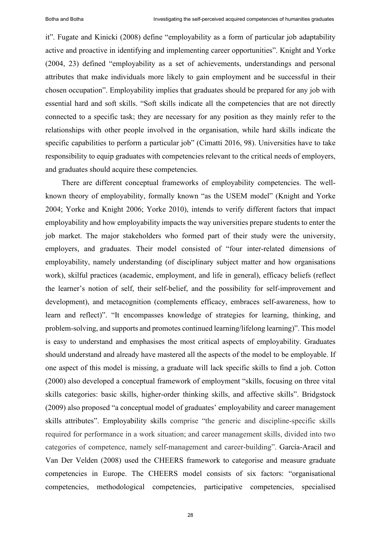it". Fugate and Kinicki (2008) define "employability as a form of particular job adaptability active and proactive in identifying and implementing career opportunities". Knight and Yorke (2004, 23) defined "employability as a set of achievements, understandings and personal attributes that make individuals more likely to gain employment and be successful in their chosen occupation". Employability implies that graduates should be prepared for any job with essential hard and soft skills. "Soft skills indicate all the competencies that are not directly connected to a specific task; they are necessary for any position as they mainly refer to the relationships with other people involved in the organisation, while hard skills indicate the specific capabilities to perform a particular job" (Cimatti 2016, 98). Universities have to take responsibility to equip graduates with competencies relevant to the critical needs of employers, and graduates should acquire these competencies.

There are different conceptual frameworks of employability competencies. The wellknown theory of employability, formally known "as the USEM model" (Knight and Yorke 2004; Yorke and Knight 2006; Yorke 2010), intends to verify different factors that impact employability and how employability impacts the way universities prepare students to enter the job market. The major stakeholders who formed part of their study were the university, employers, and graduates. Their model consisted of "four inter-related dimensions of employability, namely understanding (of disciplinary subject matter and how organisations work), skilful practices (academic, employment, and life in general), efficacy beliefs (reflect the learner's notion of self, their self-belief, and the possibility for self-improvement and development), and metacognition (complements efficacy, embraces self-awareness, how to learn and reflect)". "It encompasses knowledge of strategies for learning, thinking, and problem-solving, and supports and promotes continued learning/lifelong learning)". This model is easy to understand and emphasises the most critical aspects of employability. Graduates should understand and already have mastered all the aspects of the model to be employable. If one aspect of this model is missing, a graduate will lack specific skills to find a job. Cotton (2000) also developed a conceptual framework of employment "skills, focusing on three vital skills categories: basic skills, higher-order thinking skills, and affective skills". Bridgstock (2009) also proposed "a conceptual model of graduates' employability and career management skills attributes". Employability skills comprise "the generic and discipline-specific skills required for performance in a work situation; and career management skills, divided into two categories of competence, namely self-management and career-building". García-Aracil and Van Der Velden (2008) used the CHEERS framework to categorise and measure graduate competencies in Europe. The CHEERS model consists of six factors: "organisational competencies, methodological competencies, participative competencies, specialised

28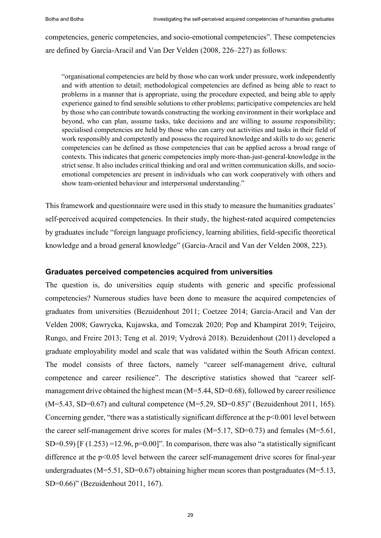competencies, generic competencies, and socio-emotional competencies". These competencies are defined by García-Aracil and Van Der Velden (2008, 226–227) as follows:

"organisational competencies are held by those who can work under pressure, work independently and with attention to detail; methodological competencies are defined as being able to react to problems in a manner that is appropriate, using the procedure expected, and being able to apply experience gained to find sensible solutions to other problems; participative competencies are held by those who can contribute towards constructing the working environment in their workplace and beyond, who can plan, assume tasks, take decisions and are willing to assume responsibility; specialised competencies are held by those who can carry out activities and tasks in their field of work responsibly and competently and possess the required knowledge and skills to do so; generic competencies can be defined as those competencies that can be applied across a broad range of contexts. This indicates that generic competencies imply more-than-just-general-knowledge in the strict sense. It also includes critical thinking and oral and written communication skills, and socioemotional competencies are present in individuals who can work cooperatively with others and show team-oriented behaviour and interpersonal understanding."

This framework and questionnaire were used in this study to measure the humanities graduates' self-perceived acquired competencies. In their study, the highest-rated acquired competencies by graduates include "foreign language proficiency, learning abilities, field-specific theoretical knowledge and a broad general knowledge" (García-Aracil and Van der Velden 2008, 223).

# **Graduates perceived competencies acquired from universities**

The question is, do universities equip students with generic and specific professional competencies? Numerous studies have been done to measure the acquired competencies of graduates from universities (Bezuidenhout 2011; Coetzee 2014; García-Aracil and Van der Velden 2008; Gawrycka, Kujawska, and Tomczak 2020; Pop and Khampirat 2019; Teijeiro, Rungo, and Freire 2013; Teng et al. 2019; Vydrová 2018). Bezuidenhout (2011) developed a graduate employability model and scale that was validated within the South African context. The model consists of three factors, namely "career self-management drive, cultural competence and career resilience". The descriptive statistics showed that "career selfmanagement drive obtained the highest mean (M=5.44, SD=0.68), followed by career resilience  $(M=5.43, SD=0.67)$  and cultural competence  $(M=5.29, SD=0.85)$ " (Bezuidenhout 2011, 165). Concerning gender, "there was a statistically significant difference at the p<0.001 level between the career self-management drive scores for males (M=5.17, SD=0.73) and females (M=5.61, SD=0.59) [F  $(1.253)$  =12.96, p=0.00]". In comparison, there was also "a statistically significant difference at the p<0.05 level between the career self-management drive scores for final-year undergraduates (M=5.51, SD=0.67) obtaining higher mean scores than postgraduates (M=5.13, SD=0.66)" (Bezuidenhout 2011, 167).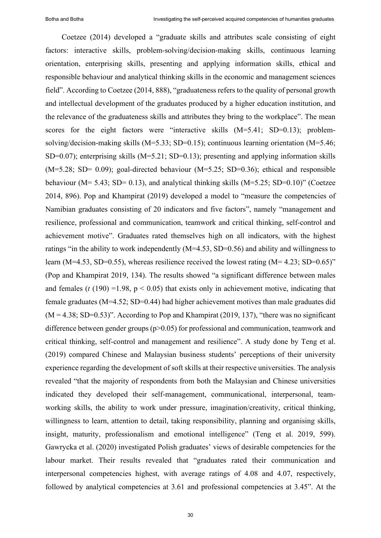Coetzee (2014) developed a "graduate skills and attributes scale consisting of eight factors: interactive skills, problem-solving/decision-making skills, continuous learning orientation, enterprising skills, presenting and applying information skills, ethical and responsible behaviour and analytical thinking skills in the economic and management sciences field". According to Coetzee (2014, 888), "graduateness refers to the quality of personal growth and intellectual development of the graduates produced by a higher education institution, and the relevance of the graduateness skills and attributes they bring to the workplace". The mean scores for the eight factors were "interactive skills  $(M=5.41; SD=0.13)$ ; problemsolving/decision-making skills (M=5.33; SD=0.15); continuous learning orientation (M=5.46; SD=0.07); enterprising skills  $(M=5.21; SD=0.13)$ ; presenting and applying information skills  $(M=5.28; SD= 0.09)$ ; goal-directed behaviour  $(M=5.25; SD=0.36)$ ; ethical and responsible behaviour ( $M = 5.43$ ; SD= 0.13), and analytical thinking skills ( $M = 5.25$ ; SD=0.10)" (Coetzee 2014, 896). Pop and Khampirat (2019) developed a model to "measure the competencies of Namibian graduates consisting of 20 indicators and five factors", namely "management and resilience, professional and communication, teamwork and critical thinking, self-control and achievement motive". Graduates rated themselves high on all indicators, with the highest ratings "in the ability to work independently (M=4.53, SD=0.56) and ability and willingness to learn (M=4.53, SD=0.55), whereas resilience received the lowest rating (M= 4.23; SD=0.65)" (Pop and Khampirat 2019, 134). The results showed "a significant difference between males and females ( $t$  (190) =1.98,  $p < 0.05$ ) that exists only in achievement motive, indicating that female graduates (M=4.52; SD=0.44) had higher achievement motives than male graduates did  $(M = 4.38; SD=0.53)$ ". According to Pop and Khampirat (2019, 137), "there was no significant difference between gender groups (p>0.05) for professional and communication, teamwork and critical thinking, self-control and management and resilience". A study done by Teng et al. (2019) compared Chinese and Malaysian business students' perceptions of their university experience regarding the development of soft skills at their respective universities. The analysis revealed "that the majority of respondents from both the Malaysian and Chinese universities indicated they developed their self-management, communicational, interpersonal, teamworking skills, the ability to work under pressure, imagination/creativity, critical thinking, willingness to learn, attention to detail, taking responsibility, planning and organising skills, insight, maturity, professionalism and emotional intelligence" (Teng et al. 2019, 599). Gawrycka et al. (2020) investigated Polish graduates' views of desirable competencies for the labour market. Their results revealed that "graduates rated their communication and interpersonal competencies highest, with average ratings of 4.08 and 4.07, respectively, followed by analytical competencies at 3.61 and professional competencies at 3.45". At the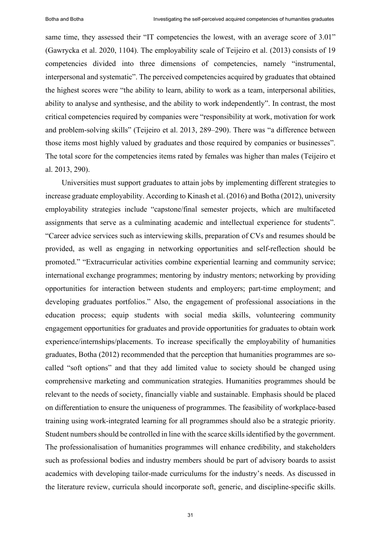same time, they assessed their "IT competencies the lowest, with an average score of 3.01" (Gawrycka et al. 2020, 1104). The employability scale of Teijeiro et al. (2013) consists of 19 competencies divided into three dimensions of competencies, namely "instrumental, interpersonal and systematic". The perceived competencies acquired by graduates that obtained the highest scores were "the ability to learn, ability to work as a team, interpersonal abilities, ability to analyse and synthesise, and the ability to work independently". In contrast, the most critical competencies required by companies were "responsibility at work, motivation for work and problem-solving skills" (Teijeiro et al. 2013, 289–290). There was "a difference between those items most highly valued by graduates and those required by companies or businesses". The total score for the competencies items rated by females was higher than males (Teijeiro et al. 2013, 290).

Universities must support graduates to attain jobs by implementing different strategies to increase graduate employability. According to Kinash et al. (2016) and Botha (2012), university employability strategies include "capstone/final semester projects, which are multifaceted assignments that serve as a culminating academic and intellectual experience for students". "Career advice services such as interviewing skills, preparation of CVs and resumes should be provided, as well as engaging in networking opportunities and self-reflection should be promoted." "Extracurricular activities combine experiential learning and community service; international exchange programmes; mentoring by industry mentors; networking by providing opportunities for interaction between students and employers; part-time employment; and developing graduates portfolios." Also, the engagement of professional associations in the education process; equip students with social media skills, volunteering community engagement opportunities for graduates and provide opportunities for graduates to obtain work experience/internships/placements. To increase specifically the employability of humanities graduates, Botha (2012) recommended that the perception that humanities programmes are socalled "soft options" and that they add limited value to society should be changed using comprehensive marketing and communication strategies. Humanities programmes should be relevant to the needs of society, financially viable and sustainable. Emphasis should be placed on differentiation to ensure the uniqueness of programmes. The feasibility of workplace-based training using work-integrated learning for all programmes should also be a strategic priority. Student numbers should be controlled in line with the scarce skills identified by the government. The professionalisation of humanities programmes will enhance credibility, and stakeholders such as professional bodies and industry members should be part of advisory boards to assist academics with developing tailor-made curriculums for the industry's needs. As discussed in the literature review, curricula should incorporate soft, generic, and discipline-specific skills.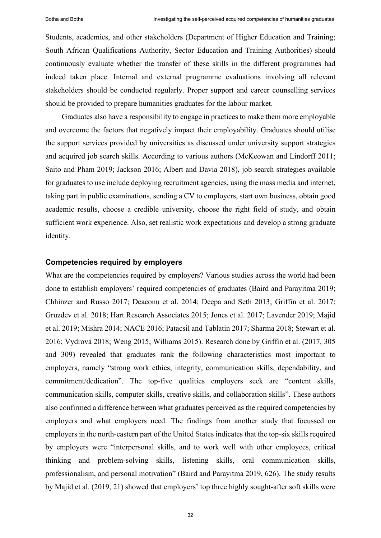Students, academics, and other stakeholders (Department of Higher Education and Training; South African Qualifications Authority, Sector Education and Training Authorities) should continuously evaluate whether the transfer of these skills in the different programmes had indeed taken place. Internal and external programme evaluations involving all relevant stakeholders should be conducted regularly. Proper support and career counselling services should be provided to prepare humanities graduates for the labour market.

Graduates also have a responsibility to engage in practices to make them more employable and overcome the factors that negatively impact their employability. Graduates should utilise the support services provided by universities as discussed under university support strategies and acquired job search skills. According to various authors (McKeowan and Lindorff 2011; Saito and Pham 2019; Jackson 2016; Albert and Davia 2018), job search strategies available for graduates to use include deploying recruitment agencies, using the mass media and internet, taking part in public examinations, sending a CV to employers, start own business, obtain good academic results, choose a credible university, choose the right field of study, and obtain sufficient work experience. Also, set realistic work expectations and develop a strong graduate identity.

#### **Competencies required by employers**

What are the competencies required by employers? Various studies across the world had been done to establish employers' required competencies of graduates (Baird and Parayitma 2019; Chhinzer and Russo 2017; Deaconu et al. 2014; Deepa and Seth 2013; Griffin et al. 2017; Gruzdev et al. 2018; Hart Research Associates 2015; Jones et al. 2017; Lavender 2019; Majid et al. 2019; Mishra 2014; NACE 2016; Patacsil and Tablatin 2017; Sharma 2018; Stewart et al. 2016; Vydrová 2018; Weng 2015; Williams 2015). Research done by Griffin et al. (2017, 305 and 309) revealed that graduates rank the following characteristics most important to employers, namely "strong work ethics, integrity, communication skills, dependability, and commitment/dedication". The top-five qualities employers seek are "content skills, communication skills, computer skills, creative skills, and collaboration skills". These authors also confirmed a difference between what graduates perceived as the required competencies by employers and what employers need. The findings from another study that focussed on employers in the north-eastern part of the United States indicates that the top-six skills required by employers were "interpersonal skills, and to work well with other employees, critical thinking and problem-solving skills, listening skills, oral communication skills, professionalism, and personal motivation" (Baird and Parayitma 2019, 626). The study results by Majid et al. (2019, 21) showed that employers' top three highly sought-after soft skills were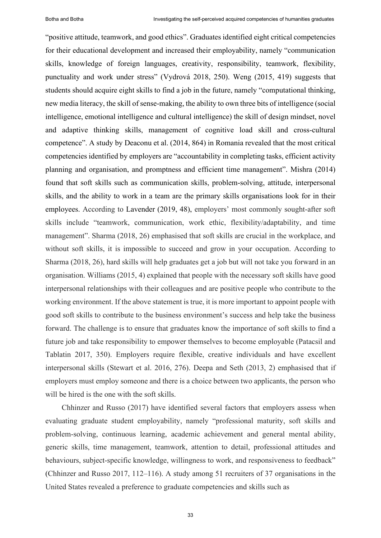"positive attitude, teamwork, and good ethics". Graduates identified eight critical competencies for their educational development and increased their employability, namely "communication skills, knowledge of foreign languages, creativity, responsibility, teamwork, flexibility, punctuality and work under stress" (Vydrová 2018, 250). Weng (2015, 419) suggests that students should acquire eight skills to find a job in the future, namely "computational thinking, new media literacy, the skill of sense-making, the ability to own three bits of intelligence (social intelligence, emotional intelligence and cultural intelligence) the skill of design mindset, novel and adaptive thinking skills, management of cognitive load skill and cross-cultural competence". A study by Deaconu et al. (2014, 864) in Romania revealed that the most critical competencies identified by employers are "accountability in completing tasks, efficient activity planning and organisation, and promptness and efficient time management". Mishra (2014) found that soft skills such as communication skills, problem-solving, attitude, interpersonal skills, and the ability to work in a team are the primary skills organisations look for in their employees. According to Lavender (2019, 48), employers' most commonly sought-after soft skills include "teamwork, communication, work ethic, flexibility/adaptability, and time management". Sharma (2018, 26) emphasised that soft skills are crucial in the workplace, and without soft skills, it is impossible to succeed and grow in your occupation. According to Sharma (2018, 26), hard skills will help graduates get a job but will not take you forward in an organisation. Williams (2015, 4) explained that people with the necessary soft skills have good interpersonal relationships with their colleagues and are positive people who contribute to the working environment. If the above statement is true, it is more important to appoint people with good soft skills to contribute to the business environment's success and help take the business forward. The challenge is to ensure that graduates know the importance of soft skills to find a future job and take responsibility to empower themselves to become employable (Patacsil and Tablatin 2017, 350). Employers require flexible, creative individuals and have excellent interpersonal skills (Stewart et al. 2016, 276). Deepa and Seth (2013, 2) emphasised that if employers must employ someone and there is a choice between two applicants, the person who will be hired is the one with the soft skills.

Chhinzer and Russo (2017) have identified several factors that employers assess when evaluating graduate student employability, namely "professional maturity, soft skills and problem-solving, continuous learning, academic achievement and general mental ability, generic skills, time management, teamwork, attention to detail, professional attitudes and behaviours, subject-specific knowledge, willingness to work, and responsiveness to feedback" (Chhinzer and Russo 2017, 112–116). A study among 51 recruiters of 37 organisations in the United States revealed a preference to graduate competencies and skills such as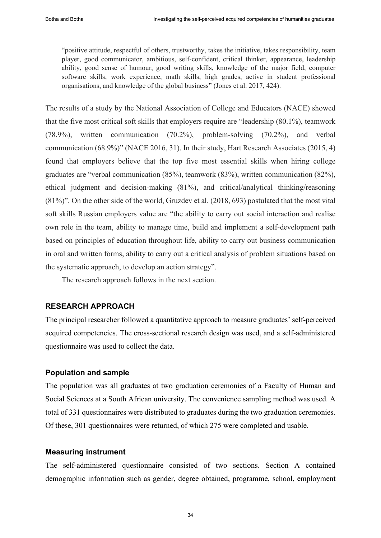"positive attitude, respectful of others, trustworthy, takes the initiative, takes responsibility, team player, good communicator, ambitious, self-confident, critical thinker, appearance, leadership ability, good sense of humour, good writing skills, knowledge of the major field, computer software skills, work experience, math skills, high grades, active in student professional organisations, and knowledge of the global business" (Jones et al. 2017, 424).

The results of a study by the National Association of College and Educators (NACE) showed that the five most critical soft skills that employers require are "leadership (80.1%), teamwork (78.9%), written communication (70.2%), problem-solving (70.2%), and verbal communication (68.9%)" (NACE 2016, 31). In their study, Hart Research Associates (2015, 4) found that employers believe that the top five most essential skills when hiring college graduates are "verbal communication (85%), teamwork (83%), written communication (82%), ethical judgment and decision-making (81%), and critical/analytical thinking/reasoning (81%)". On the other side of the world, Gruzdev et al. (2018, 693) postulated that the most vital soft skills Russian employers value are "the ability to carry out social interaction and realise own role in the team, ability to manage time, build and implement a self-development path based on principles of education throughout life, ability to carry out business communication in oral and written forms, ability to carry out a critical analysis of problem situations based on the systematic approach, to develop an action strategy".

The research approach follows in the next section.

# **RESEARCH APPROACH**

The principal researcher followed a quantitative approach to measure graduates' self-perceived acquired competencies. The cross-sectional research design was used, and a self-administered questionnaire was used to collect the data.

### **Population and sample**

The population was all graduates at two graduation ceremonies of a Faculty of Human and Social Sciences at a South African university. The convenience sampling method was used. A total of 331 questionnaires were distributed to graduates during the two graduation ceremonies. Of these, 301 questionnaires were returned, of which 275 were completed and usable.

# **Measuring instrument**

The self-administered questionnaire consisted of two sections. Section A contained demographic information such as gender, degree obtained, programme, school, employment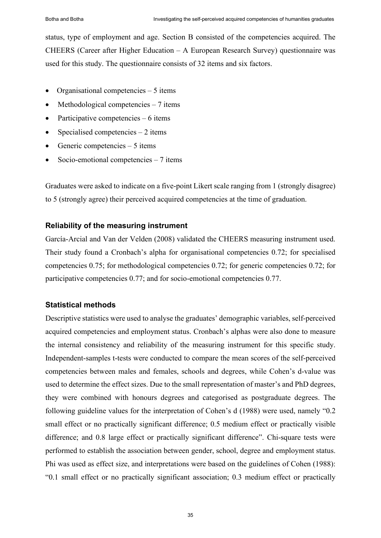status, type of employment and age. Section B consisted of the competencies acquired. The CHEERS (Career after Higher Education – A European Research Survey) questionnaire was used for this study. The questionnaire consists of 32 items and six factors.

- Organisational competencies 5 items
- Methodological competencies  $-7$  items
- Participative competencies 6 items
- Specialised competencies  $-2$  items
- Generic competencies  $-5$  items
- Socio-emotional competencies  $-7$  items

Graduates were asked to indicate on a five-point Likert scale ranging from 1 (strongly disagree) to 5 (strongly agree) their perceived acquired competencies at the time of graduation.

# **Reliability of the measuring instrument**

García-Arcial and Van der Velden (2008) validated the CHEERS measuring instrument used. Their study found a Cronbach's alpha for organisational competencies 0.72; for specialised competencies 0.75; for methodological competencies 0.72; for generic competencies 0.72; for participative competencies 0.77; and for socio-emotional competencies 0.77.

# **Statistical methods**

Descriptive statistics were used to analyse the graduates' demographic variables, self-perceived acquired competencies and employment status. Cronbach's alphas were also done to measure the internal consistency and reliability of the measuring instrument for this specific study. Independent-samples t-tests were conducted to compare the mean scores of the self-perceived competencies between males and females, schools and degrees, while Cohen's d-value was used to determine the effect sizes. Due to the small representation of master's and PhD degrees, they were combined with honours degrees and categorised as postgraduate degrees. The following guideline values for the interpretation of Cohen's d (1988) were used, namely "0.2 small effect or no practically significant difference; 0.5 medium effect or practically visible difference; and 0.8 large effect or practically significant difference". Chi-square tests were performed to establish the association between gender, school, degree and employment status. Phi was used as effect size, and interpretations were based on the guidelines of Cohen (1988): "0.1 small effect or no practically significant association; 0.3 medium effect or practically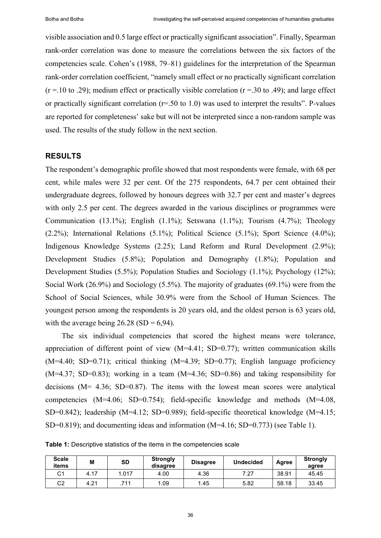visible association and 0.5 large effect or practically significant association". Finally, Spearman rank-order correlation was done to measure the correlations between the six factors of the competencies scale. Cohen's (1988, 79–81) guidelines for the interpretation of the Spearman rank-order correlation coefficient, "namely small effect or no practically significant correlation  $(r = .10 \text{ to } .29)$ ; medium effect or practically visible correlation  $(r = .30 \text{ to } .49)$ ; and large effect or practically significant correlation (r=.50 to 1.0) was used to interpret the results". P-values are reported for completeness' sake but will not be interpreted since a non-random sample was used. The results of the study follow in the next section.

#### **RESULTS**

The respondent's demographic profile showed that most respondents were female, with 68 per cent, while males were 32 per cent. Of the 275 respondents, 64.7 per cent obtained their undergraduate degrees, followed by honours degrees with 32.7 per cent and master's degrees with only 2.5 per cent. The degrees awarded in the various disciplines or programmes were Communication (13.1%); English (1.1%); Setswana (1.1%); Tourism (4.7%); Theology (2.2%); International Relations (5.1%); Political Science (5.1%); Sport Science (4.0%); Indigenous Knowledge Systems (2.25); Land Reform and Rural Development (2.9%); Development Studies (5.8%); Population and Demography (1.8%); Population and Development Studies (5.5%); Population Studies and Sociology (1.1%); Psychology (12%); Social Work (26.9%) and Sociology (5.5%). The majority of graduates (69.1%) were from the School of Social Sciences, while 30.9% were from the School of Human Sciences. The youngest person among the respondents is 20 years old, and the oldest person is 63 years old, with the average being  $26.28$  (SD = 6,94).

The six individual competencies that scored the highest means were tolerance, appreciation of different point of view (M=4.41; SD=0.77); written communication skills  $(M=4.40; SD=0.71)$ ; critical thinking  $(M=4.39; SD=0.77)$ ; English language proficiency  $(M=4.37; SD=0.83)$ ; working in a team  $(M=4.36; SD=0.86)$  and taking responsibility for decisions  $(M= 4.36; SD=0.87)$ . The items with the lowest mean scores were analytical competencies  $(M=4.06; SD=0.754)$ ; field-specific knowledge and methods  $(M=4.08,$ SD=0.842); leadership (M=4.12; SD=0.989); field-specific theoretical knowledge (M=4.15; SD=0.819); and documenting ideas and information (M=4.16; SD=0.773) (see Table 1).

**Table 1:** Descriptive statistics of the items in the competencies scale

| <b>Scale</b><br>items | M    | SD   | Strongly<br>disagree | <b>Disagree</b> | <b>Undecided</b> | Agree | <b>Strongly</b><br>agree |  |
|-----------------------|------|------|----------------------|-----------------|------------------|-------|--------------------------|--|
| C1                    | 4.17 | .017 | 4.00                 | 4.36            | 7.27             | 38.91 | 45.45                    |  |
| C2                    | 4.21 | 711  | 1.09                 | .45             | 5.82             | 58.18 | 33.45                    |  |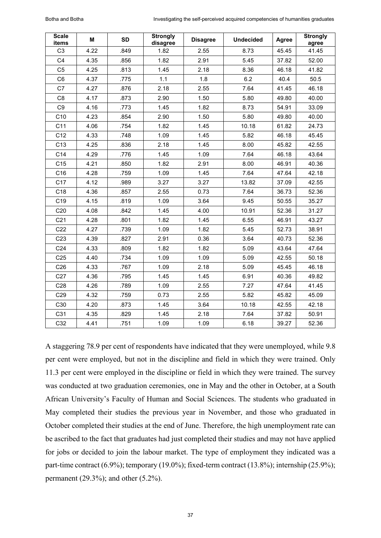| <b>Scale</b><br>items | M    | <b>SD</b> | <b>Strongly</b><br>disagree | <b>Disagree</b> | <b>Undecided</b> | Agree | <b>Strongly</b><br>agree |
|-----------------------|------|-----------|-----------------------------|-----------------|------------------|-------|--------------------------|
| C <sub>3</sub>        | 4.22 | .849      | 1.82                        | 2.55            | 8.73             | 45.45 | 41.45                    |
| C <sub>4</sub>        | 4.35 | .856      | 1.82                        | 2.91            | 5.45             | 37.82 | 52.00                    |
| C <sub>5</sub>        | 4.25 | .813      | 1.45                        | 2.18            | 8.36             | 46.18 | 41.82                    |
| C <sub>6</sub>        | 4.37 | .775      | 1.1                         | 1.8             | 6.2              | 40.4  | 50.5                     |
| C7                    | 4.27 | .876      | 2.18                        | 2.55            | 7.64             | 41.45 | 46.18                    |
| C <sub>8</sub>        | 4.17 | .873      | 2.90                        | 1.50            | 5.80             | 49.80 | 40.00                    |
| C <sub>9</sub>        | 4.16 | .773      | 1.45                        | 1.82            | 8.73             | 54.91 | 33.09                    |
| C10                   | 4.23 | .854      | 2.90                        | 1.50            | 5.80             | 49.80 | 40.00                    |
| C11                   | 4.06 | .754      | 1.82                        | 1.45            | 10.18            | 61.82 | 24.73                    |
| C12                   | 4.33 | .748      | 1.09                        | 1.45            | 5.82             | 46.18 | 45.45                    |
| C <sub>13</sub>       | 4.25 | .836      | 2.18                        | 1.45            | 8.00             | 45.82 | 42.55                    |
| C14                   | 4.29 | .776      | 1.45                        | 1.09            | 7.64             | 46.18 | 43.64                    |
| C <sub>15</sub>       | 4.21 | .850      | 1.82                        | 2.91            | 8.00             | 46.91 | 40.36                    |
| C <sub>16</sub>       | 4.28 | .759      | 1.09                        | 1.45            | 7.64             | 47.64 | 42.18                    |
| C <sub>17</sub>       | 4.12 | .989      | 3.27                        | 3.27            | 13.82            | 37.09 | 42.55                    |
| C18                   | 4.36 | .857      | 2.55                        | 0.73            | 7.64             | 36.73 | 52.36                    |
| C <sub>19</sub>       | 4.15 | .819      | 1.09                        | 3.64            | 9.45             | 50.55 | 35.27                    |
| C <sub>20</sub>       | 4.08 | .842      | 1.45                        | 4.00            | 10.91            | 52.36 | 31.27                    |
| C <sub>21</sub>       | 4.28 | .801      | 1.82                        | 1.45            | 6.55             | 46.91 | 43.27                    |
| C <sub>22</sub>       | 4.27 | .739      | 1.09                        | 1.82            | 5.45             | 52.73 | 38.91                    |
| C <sub>23</sub>       | 4.39 | .827      | 2.91                        | 0.36            | 3.64             | 40.73 | 52.36                    |
| C <sub>24</sub>       | 4.33 | .809      | 1.82                        | 1.82            | 5.09             | 43.64 | 47.64                    |
| C <sub>25</sub>       | 4.40 | .734      | 1.09                        | 1.09            | 5.09             | 42.55 | 50.18                    |
| C <sub>26</sub>       | 4.33 | .767      | 1.09                        | 2.18            | 5.09             | 45.45 | 46.18                    |
| C27                   | 4.36 | .795      | 1.45                        | 1.45            | 6.91             | 40.36 | 49.82                    |
| C <sub>28</sub>       | 4.26 | .789      | 1.09                        | 2.55            | 7.27             | 47.64 | 41.45                    |
| C <sub>29</sub>       | 4.32 | .759      | 0.73                        | 2.55            | 5.82             | 45.82 | 45.09                    |
| C30                   | 4.20 | .873      | 1.45                        | 3.64            | 10.18            | 42.55 | 42.18                    |
| C31                   | 4.35 | .829      | 1.45                        | 2.18            | 7.64             | 37.82 | 50.91                    |
| C32                   | 4.41 | .751      | 1.09                        | 1.09            | 6.18             | 39.27 | 52.36                    |

A staggering 78.9 per cent of respondents have indicated that they were unemployed, while 9.8 per cent were employed, but not in the discipline and field in which they were trained. Only 11.3 per cent were employed in the discipline or field in which they were trained. The survey was conducted at two graduation ceremonies, one in May and the other in October, at a South African University's Faculty of Human and Social Sciences. The students who graduated in May completed their studies the previous year in November, and those who graduated in October completed their studies at the end of June. Therefore, the high unemployment rate can be ascribed to the fact that graduates had just completed their studies and may not have applied for jobs or decided to join the labour market. The type of employment they indicated was a part-time contract (6.9%); temporary (19.0%); fixed-term contract (13.8%); internship (25.9%); permanent (29.3%); and other (5.2%).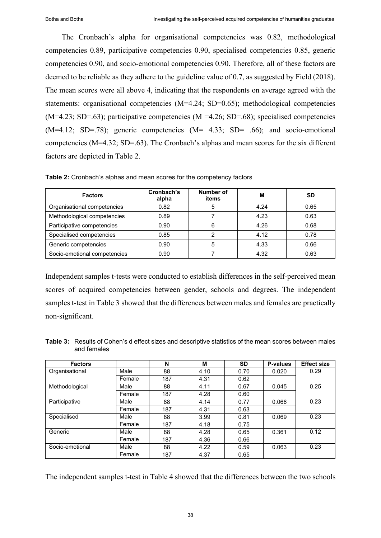The Cronbach's alpha for organisational competencies was 0.82, methodological competencies 0.89, participative competencies 0.90, specialised competencies 0.85, generic competencies 0.90, and socio-emotional competencies 0.90. Therefore, all of these factors are deemed to be reliable as they adhere to the guideline value of 0.7, as suggested by Field (2018). The mean scores were all above 4, indicating that the respondents on average agreed with the statements: organisational competencies (M=4.24; SD=0.65); methodological competencies  $(M=4.23; SD=.63)$ ; participative competencies  $(M=4.26; SD=.68)$ ; specialised competencies  $(M=4.12; SD=.78)$ ; generic competencies  $(M= 4.33; SD=.66)$ ; and socio-emotional competencies (M=4.32; SD=.63). The Cronbach's alphas and mean scores for the six different factors are depicted in Table 2.

| <b>Factors</b>               | Cronbach's<br>alpha | Number of<br>items | M    | <b>SD</b> |
|------------------------------|---------------------|--------------------|------|-----------|
| Organisational competencies  | 0.82                | 5                  | 4.24 | 0.65      |
| Methodological competencies  | 0.89                |                    | 4.23 | 0.63      |
| Participative competencies   | 0.90                | 6                  | 4.26 | 0.68      |
| Specialised competencies     | 0.85                |                    | 4.12 | 0.78      |
| Generic competencies         | 0.90                |                    | 4.33 | 0.66      |
| Socio-emotional competencies | 0.90                |                    | 4.32 | 0.63      |

**Table 2:** Cronbach's alphas and mean scores for the competency factors

Independent samples t-tests were conducted to establish differences in the self-perceived mean scores of acquired competencies between gender, schools and degrees. The independent samples t-test in Table 3 showed that the differences between males and females are practically non-significant.

**Table 3:** Results of Cohen's d effect sizes and descriptive statistics of the mean scores between males and females

| <b>Factors</b>  |        | N   | M    | <b>SD</b> | <b>P-values</b> | <b>Effect size</b> |
|-----------------|--------|-----|------|-----------|-----------------|--------------------|
| Organisational  | Male   | 88  | 4.10 | 0.70      | 0.020           | 0.29               |
|                 | Female | 187 | 4.31 | 0.62      |                 |                    |
| Methodological  | Male   | 88  | 4.11 | 0.67      | 0.045           | 0.25               |
|                 | Female | 187 | 4.28 | 0.60      |                 |                    |
| Participative   | Male   | 88  | 4.14 | 0.77      | 0.066           | 0.23               |
|                 | Female | 187 | 4.31 | 0.63      |                 |                    |
| Specialised     | Male   | 88  | 3.99 | 0.81      | 0.069           | 0.23               |
|                 | Female | 187 | 4.18 | 0.75      |                 |                    |
| Generic         | Male   | 88  | 4.28 | 0.65      | 0.361           | 0.12               |
|                 | Female | 187 | 4.36 | 0.66      |                 |                    |
| Socio-emotional | Male   | 88  | 4.22 | 0.59      | 0.063           | 0.23               |
|                 | Female | 187 | 4.37 | 0.65      |                 |                    |

The independent samples t-test in Table 4 showed that the differences between the two schools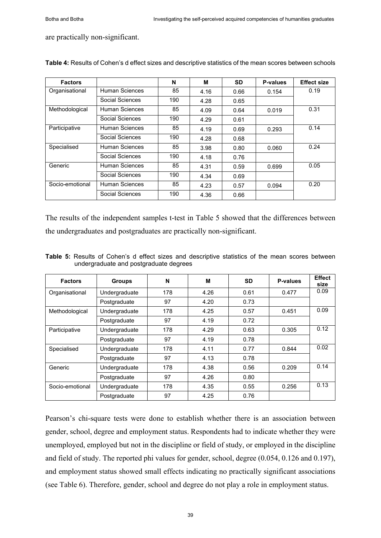are practically non-significant.

| <b>Factors</b>  |                 | N   | м    | SD   | P-values | <b>Effect size</b> |
|-----------------|-----------------|-----|------|------|----------|--------------------|
| Organisational  | Human Sciences  | 85  | 4.16 | 0.66 | 0.154    | 0.19               |
|                 | Social Sciences | 190 | 4.28 | 0.65 |          |                    |
| Methodological  | Human Sciences  | 85  | 4.09 | 0.64 | 0.019    | 0.31               |
|                 | Social Sciences | 190 | 4.29 | 0.61 |          |                    |
| Participative   | Human Sciences  | 85  | 4.19 | 0.69 | 0.293    | 0.14               |
|                 | Social Sciences | 190 | 4.28 | 0.68 |          |                    |
| Specialised     | Human Sciences  | 85  | 3.98 | 0.80 | 0.060    | 0.24               |
|                 | Social Sciences | 190 | 4.18 | 0.76 |          |                    |
| Generic         | Human Sciences  | 85  | 4.31 | 0.59 | 0.699    | 0.05               |
|                 | Social Sciences | 190 | 4.34 | 0.69 |          |                    |
| Socio-emotional | Human Sciences  | 85  | 4.23 | 0.57 | 0.094    | 0.20               |
|                 | Social Sciences | 190 | 4.36 | 0.66 |          |                    |

**Table 4:** Results of Cohen's d effect sizes and descriptive statistics of the mean scores between schools

The results of the independent samples t-test in Table 5 showed that the differences between the undergraduates and postgraduates are practically non-significant.

|  |  |                                        |  |  | <b>Table 5:</b> Results of Cohen's d effect sizes and descriptive statistics of the mean scores between |  |  |  |
|--|--|----------------------------------------|--|--|---------------------------------------------------------------------------------------------------------|--|--|--|
|  |  | undergraduate and postgraduate degrees |  |  |                                                                                                         |  |  |  |
|  |  |                                        |  |  |                                                                                                         |  |  |  |

| <b>Factors</b>  | <b>Groups</b> | N   | М    | <b>SD</b> | P-values | <b>Effect</b><br>size |
|-----------------|---------------|-----|------|-----------|----------|-----------------------|
| Organisational  | Undergraduate | 178 | 4.26 | 0.61      | 0.477    | 0.09                  |
|                 | Postgraduate  | 97  | 4.20 | 0.73      |          |                       |
| Methodological  | Undergraduate | 178 | 4.25 | 0.57      | 0.451    | 0.09                  |
|                 | Postgraduate  | 97  | 4.19 | 0.72      |          |                       |
| Participative   | Undergraduate | 178 | 4.29 | 0.63      | 0.305    | 0.12                  |
|                 | Postgraduate  | 97  | 4.19 | 0.78      |          |                       |
| Specialised     | Undergraduate | 178 | 4.11 | 0.77      | 0.844    | 0.02                  |
|                 | Postgraduate  | 97  | 4.13 | 0.78      |          |                       |
| Generic         | Undergraduate | 178 | 4.38 | 0.56      | 0.209    | 0.14                  |
|                 | Postgraduate  | 97  | 4.26 | 0.80      |          |                       |
| Socio-emotional | Undergraduate | 178 | 4.35 | 0.55      | 0.256    | 0.13                  |
|                 | Postgraduate  | 97  | 4.25 | 0.76      |          |                       |

Pearson's chi-square tests were done to establish whether there is an association between gender, school, degree and employment status. Respondents had to indicate whether they were unemployed, employed but not in the discipline or field of study, or employed in the discipline and field of study. The reported phi values for gender, school, degree (0.054, 0.126 and 0.197), and employment status showed small effects indicating no practically significant associations (see Table 6). Therefore, gender, school and degree do not play a role in employment status.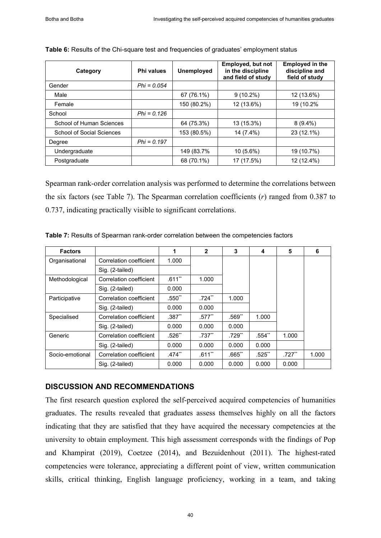| Category                  | Phi values    | <b>Unemployed</b> | Employed, but not<br>in the discipline<br>and field of study | <b>Employed in the</b><br>discipline and<br>field of study |
|---------------------------|---------------|-------------------|--------------------------------------------------------------|------------------------------------------------------------|
| Gender                    | $Phi = 0.054$ |                   |                                                              |                                                            |
| Male                      |               | 67 (76.1%)        | $9(10.2\%)$                                                  | 12 (13.6%)                                                 |
| Female                    |               | 150 (80.2%)       | 12 (13.6%)                                                   | 19 (10.2%                                                  |
| School                    | $Phi = 0.126$ |                   |                                                              |                                                            |
| School of Human Sciences  |               | 64 (75.3%)        | 13 (15.3%)                                                   | $8(9.4\%)$                                                 |
| School of Social Sciences |               | 153 (80.5%)       | 14 (7.4%)                                                    | 23 (12.1%)                                                 |
| Degree                    | $Phi = 0.197$ |                   |                                                              |                                                            |
| Undergraduate             |               | 149 (83.7%)       | $10(5.6\%)$                                                  | 19 (10.7%)                                                 |
| Postgraduate              |               | 68 (70.1%)        | 17 (17.5%)                                                   | 12 (12.4%)                                                 |

#### **Table 6:** Results of the Chi-square test and frequencies of graduates' employment status

Spearman rank-order correlation analysis was performed to determine the correlations between the six factors (see Table 7). The Spearman correlation coefficients (*r*) ranged from 0.387 to 0.737, indicating practically visible to significant correlations.

| <b>Factors</b>  |                         | 1        | $\mathbf{2}$         | 3        | 4        | 5         | 6     |
|-----------------|-------------------------|----------|----------------------|----------|----------|-----------|-------|
| Organisational  | Correlation coefficient | 1.000    |                      |          |          |           |       |
|                 | Sig. (2-tailed)         |          |                      |          |          |           |       |
| Methodological  | Correlation coefficient | $.611**$ | 1.000                |          |          |           |       |
|                 | Sig. (2-tailed)         | 0.000    |                      |          |          |           |       |
| Participative   | Correlation coefficient | $.550**$ | $.724**$             | 1.000    |          |           |       |
|                 | Sig. (2-tailed)         | 0.000    | 0.000                |          |          |           |       |
| Specialised     | Correlation coefficient | $.387**$ | $.577$ <sup>**</sup> | $.569**$ | 1.000    |           |       |
|                 | Sig. (2-tailed)         | 0.000    | 0.000                | 0.000    |          |           |       |
| Generic         | Correlation coefficient | $.526**$ | $.737**$             | $.729**$ | $.554**$ | 1.000     |       |
|                 | Sig. (2-tailed)         | 0.000    | 0.000                | 0.000    | 0.000    |           |       |
| Socio-emotional | Correlation coefficient | $.474**$ | $.611**$             | $.665**$ | $.525**$ | $.727$ ** | 1.000 |
|                 | Sig. (2-tailed)         | 0.000    | 0.000                | 0.000    | 0.000    | 0.000     |       |

**Table 7:** Results of Spearman rank-order correlation between the competencies factors

# **DISCUSSION AND RECOMMENDATIONS**

The first research question explored the self-perceived acquired competencies of humanities graduates. The results revealed that graduates assess themselves highly on all the factors indicating that they are satisfied that they have acquired the necessary competencies at the university to obtain employment. This high assessment corresponds with the findings of Pop and Khampirat (2019), Coetzee (2014), and Bezuidenhout (2011). The highest-rated competencies were tolerance, appreciating a different point of view, written communication skills, critical thinking, English language proficiency, working in a team, and taking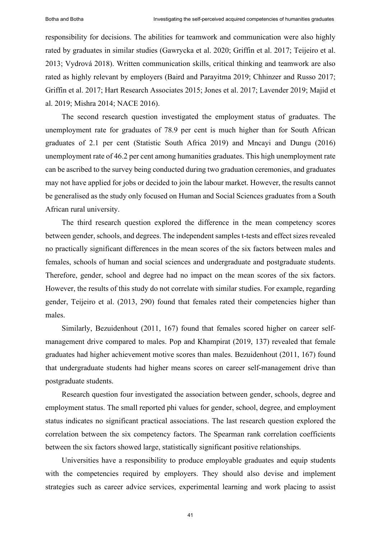responsibility for decisions. The abilities for teamwork and communication were also highly rated by graduates in similar studies (Gawrycka et al. 2020; Griffin et al. 2017; Teijeiro et al. 2013; Vydrová 2018). Written communication skills, critical thinking and teamwork are also rated as highly relevant by employers (Baird and Parayitma 2019; Chhinzer and Russo 2017; Griffin et al. 2017; Hart Research Associates 2015; Jones et al. 2017; Lavender 2019; Majid et al. 2019; Mishra 2014; NACE 2016).

The second research question investigated the employment status of graduates. The unemployment rate for graduates of 78.9 per cent is much higher than for South African graduates of 2.1 per cent (Statistic South Africa 2019) and Mncayi and Dungu (2016) unemployment rate of 46.2 per cent among humanities graduates. This high unemployment rate can be ascribed to the survey being conducted during two graduation ceremonies, and graduates may not have applied for jobs or decided to join the labour market. However, the results cannot be generalised as the study only focused on Human and Social Sciences graduates from a South African rural university.

The third research question explored the difference in the mean competency scores between gender, schools, and degrees. The independent samples t-tests and effect sizes revealed no practically significant differences in the mean scores of the six factors between males and females, schools of human and social sciences and undergraduate and postgraduate students. Therefore, gender, school and degree had no impact on the mean scores of the six factors. However, the results of this study do not correlate with similar studies. For example, regarding gender, Teijeiro et al. (2013, 290) found that females rated their competencies higher than males.

Similarly, Bezuidenhout (2011, 167) found that females scored higher on career selfmanagement drive compared to males. Pop and Khampirat (2019, 137) revealed that female graduates had higher achievement motive scores than males. Bezuidenhout (2011, 167) found that undergraduate students had higher means scores on career self-management drive than postgraduate students.

Research question four investigated the association between gender, schools, degree and employment status. The small reported phi values for gender, school, degree, and employment status indicates no significant practical associations. The last research question explored the correlation between the six competency factors. The Spearman rank correlation coefficients between the six factors showed large, statistically significant positive relationships.

Universities have a responsibility to produce employable graduates and equip students with the competencies required by employers. They should also devise and implement strategies such as career advice services, experimental learning and work placing to assist

41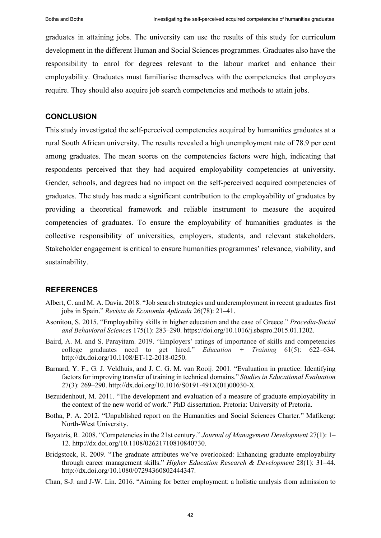graduates in attaining jobs. The university can use the results of this study for curriculum development in the different Human and Social Sciences programmes. Graduates also have the responsibility to enrol for degrees relevant to the labour market and enhance their employability. Graduates must familiarise themselves with the competencies that employers require. They should also acquire job search competencies and methods to attain jobs.

## **CONCLUSION**

This study investigated the self-perceived competencies acquired by humanities graduates at a rural South African university. The results revealed a high unemployment rate of 78.9 per cent among graduates. The mean scores on the competencies factors were high, indicating that respondents perceived that they had acquired employability competencies at university. Gender, schools, and degrees had no impact on the self-perceived acquired competencies of graduates. The study has made a significant contribution to the employability of graduates by providing a theoretical framework and reliable instrument to measure the acquired competencies of graduates. To ensure the employability of humanities graduates is the collective responsibility of universities, employers, students, and relevant stakeholders. Stakeholder engagement is critical to ensure humanities programmes' relevance, viability, and sustainability.

#### **REFERENCES**

- Albert, C. and M. A. Davia. 2018. "Job search strategies and underemployment in recent graduates first jobs in Spain." *Revista de Economía Aplicada* 26(78): 21–41.
- Asonitou, S. 2015. "Employability skills in higher education and the case of Greece." *Procedia-Social and Behavioral Science*s 175(1): 283‒290. [https://doi.org/10.1016/j.sbspro.2015.01.1202.](https://doi.org/10.1016/j.sbspro.2015.01.1202)
- Baird, A. M. and S. Parayitam. 2019. "Employers' ratings of importance of skills and competencies college graduates need to get hired." *Education + Training* 61(5): 622‒634. [http://dx.doi.org/10.1108/ET-12-2018-0250.](http://dx.doi.org/10.1108/ET-12-2018-0250)
- Barnard, Y. F., G. J. Veldhuis, and J. C. G. M. van Rooij. 2001. "Evaluation in practice: Identifying factors for improving transfer of training in technical domains." *Studies in Educational Evaluation* 27(3): 269‒290. [http://dx.doi.org/10.1016/S0191-491X\(01\)00030-X.](http://dx.doi.org/10.1016/S0191-491X(01)00030-X)
- Bezuidenhout, M. 2011. "The development and evaluation of a measure of graduate employability in the context of the new world of work." PhD dissertation. Pretoria: University of Pretoria.
- Botha, P. A. 2012. "Unpublished report on the Humanities and Social Sciences Charter." Mafikeng: North-West University.
- Boyatzis, R. 2008. "Competencies in the 21st century." *Journal of Management Development* 27(1): 1– 12. [http://dx.doi.org/10.1108/02621710810840730.](http://dx.doi.org/10.1108/02621710810840730)
- Bridgstock, R. 2009. "The graduate attributes we've overlooked: Enhancing graduate employability through career management skills." *Higher Education Research & Development* 28(1): 31‒44. [http://dx.doi.org/10.1080/07294360802444347.](http://dx.doi.org/10.1080/07294360802444347)
- Chan, S-J. and J-W. Lin. 2016. "Aiming for better employment: a holistic analysis from admission to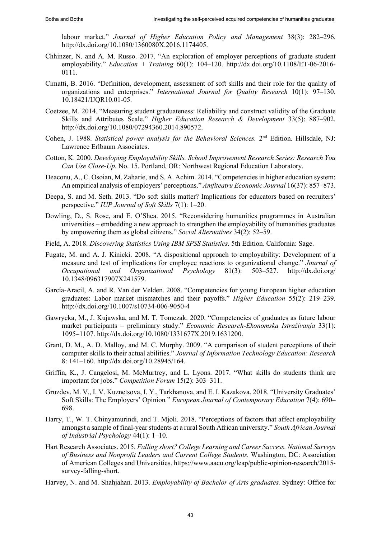labour market." *Journal of Higher Education Policy and Management* 38(3): 282–296. [http://dx.doi.org/10.1080/1360080X.2016.1174405.](http://dx.doi.org/10.1080/1360080X.2016.1174405)

- Chhinzer, N. and A. M. Russo. 2017. "An exploration of employer perceptions of graduate student employability*.*" *Education + Training* 60(1): 104‒120. [http://dx.doi.org/10.1108/ET-06-2016-](http://dx.doi.org/10.1108/ET-06-2016-0111) [0111.](http://dx.doi.org/10.1108/ET-06-2016-0111)
- Cimatti, B. 2016. "Definition, development, assessment of soft skills and their role for the quality of organizations and enterprises." *International Journal for Quality Research* 10(1): 97–130. [10.18421/IJQR10.01-05.](https://www.researchgate.net/deref/http%3A%2F%2Fdx.doi.org%2F10.18421%2FIJQR10.01-05?_sg%5B0%5D=eLuklzV-52VMemNohboKxlnu4jMtdRGTGvDdwYnBpEfySbZ6_jReXys19np4-c8Wrjp8OTXEre5s8kb8ueClk2_Rsw.Twm3Ztn43cKFC8rBEINph--LvgNKm_0AP92EP0zSwS94SAt9YDnKKCQPAvpqNhavpMQEMeh9Yj8jXqC2f0KE7Q)
- Coetzee, M. 2014. "Measuring student graduateness: Reliability and construct validity of the Graduate Skills and Attributes Scale." *Higher Education Research & Development* 33(5): 887-902. [http://dx.doi.org/10.1080/07294360.2014.890572.](http://dx.doi.org/10.1080/07294360.2014.890572)
- Cohen, J. 1988. *Statistical power analysis for the Behavioral Sciences*. 2<sup>nd</sup> Edition. Hillsdale, NJ: Lawrence Erlbaum Associates.
- Cotton, K. 2000. *Developing Employability Skills. School Improvement Research Series: Research You Can Use Close-Up.* No. 15. Portland, OR: Northwest Regional Education Laboratory.
- Deaconu, A., C. Osoian, M. Zaharie, and S. A. Achim. 2014. "Competencies in higher education system: An empirical analysis of employers' perceptions." *Amfiteatru Economic Journal* 16(37): 857‒873.
- Deepa, S. and M. Seth. 2013. "Do soft skills matter? Implications for educators based on recruiters' perspective." *IUP Journal of Soft Skills* 7(1): 1‒20.
- Dowling, D., S. Rose, and E. O'Shea. 2015. "Reconsidering humanities programmes in Australian universities ‒ embedding a new approach to strengthen the employability of humanities graduates by empowering them as global citizens." *Social Alternatives* 34(2): 52‒59.
- Field, A. 2018. *Discovering Statistics Using IBM SPSS Statistics.* 5th Edition. California: Sage.
- Fugate, M. and A. J. Kinicki. 2008. "A dispositional approach to employability: Development of a measure and test of implications for employee reactions to organizational change." *Journal of Occupational and Organizational Psychology* 81(3): 503‒527. [http://dx.doi.org/](http://dx.doi.org/10.1348/096317907X241579)  [10.1348/096317907X241579.](http://dx.doi.org/10.1348/096317907X241579)
- García-Aracil, A. and R. Van der Velden. 2008. "Competencies for young European higher education graduates: Labor market mismatches and their payoffs." *Higher Education* 55(2): 219–239. <http://dx.doi.org/10.1007/s10734-006-9050-4>
- Gawrycka, M., J. Kujawska, and M. T. Tomczak. 2020. "Competencies of graduates as future labour market participants – preliminary study." *Economic Research-Ekonomska Istraživanja* 33(1): 1095‒1107. [http://dx.doi.org/10.1080/1331677X.2019.1631200.](http://dx.doi.org/10.1080/1331677X.2019.1631200)
- Grant, D. M., A. D. Malloy, and M. C. Murphy. 2009. "A comparison of student perceptions of their computer skills to their actual abilities." *Journal of Information Technology Education: Research* 8: 141‒160[. http://dx.doi.org/10.28945/164.](http://dx.doi.org/10.28945/164)
- Griffin, K., J. Cangelosi, M. McMurtrey, and L. Lyons. 2017. "What skills do students think are important for jobs." *Competition Forum* 15(2): 303–311.
- Gruzdev, M. V., I. V. Kuznetsova, I. Y., Tarkhanova, and E. I. Kazakova. 2018. "University Graduates' Soft Skills: The Employers' Opinion*.*" *European Journal of Contemporary Education* 7(4): 690‒ 698.
- Harry, T., W. T. Chinyamurindi, and T. Mjoli. 2018. "Perceptions of factors that affect employability amongst a sample of final-year students at a rural South African university." *South African Journal of Industrial Psychology* 44(1): 1‒10.
- Hart Research Associates. 2015. *Falling short? College Learning and Career Success. National Surveys of Business and Nonprofit Leaders and Current College Students.* Washington, DC: Association of American Colleges and Universities. [https://www.aacu.org/leap/public-opinion-research/2015](https://www.aacu.org/leap/public-opinion-research/2015-survey-falling-short) [survey-falling-short.](https://www.aacu.org/leap/public-opinion-research/2015-survey-falling-short)
- Harvey, N. and M. Shahjahan. 2013. *Employability of Bachelor of Arts graduates.* Sydney: Office for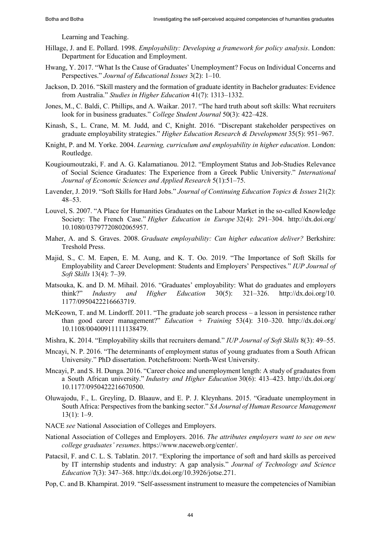Learning and Teaching.

- Hillage, J. and E. Pollard. 1998. *Employability: Developing a framework for policy analysis*. London: Department for Education and Employment.
- Hwang, Y. 2017. "What Is the Cause of Graduates' Unemployment? Focus on Individual Concerns and Perspectives." *Journal of Educational Issues* 3(2): 1–10.
- Jackson, D. 2016. "Skill mastery and the formation of graduate identity in Bachelor graduates: Evidence from Australia." *Studies in Higher Education* 41(7): 1313–1332.
- Jones, M., C. Baldi, C. Phillips, and A. Waikar. 2017. "The hard truth about soft skills: What recruiters look for in business graduates." *College Student Journal* 50(3): 422–428.
- Kinash, S., L. Crane, M. M. Judd, and C, Knight. 2016. "Discrepant stakeholder perspectives on graduate employability strategies." *Higher Education Research & Development* 35(5): 951–967.
- Knight, P. and M. Yorke. 2004. *Learning, curriculum and employability in higher education*. London: Routledge.
- Kougioumoutzaki, F. and A. G. Kalamatianou. 2012. "Employment Status and Job-Studies Relevance of Social Science Graduates: The Experience from a Greek Public University." *International Journal of Economic Sciences and Applied Research* 5(1):51‒75.
- Lavender, J. 2019. "Soft Skills for Hard Jobs." *Journal of Continuing Education Topics & Issues* 21(2):  $48 - 53$ .
- Louvel, S. 2007. "A Place for Humanities Graduates on the Labour Market in the so-called Knowledge Society: The French Case." *Higher Education in Europe* 32(4): 291–304. [http://dx.doi.org/](http://dx.doi.org/10.1080/03797720802065957) [10.1080/03797720802065957.](http://dx.doi.org/10.1080/03797720802065957)
- Maher, A. and S. Graves. 2008. *Graduate employability: Can higher education deliver?* Berkshire: Treshold Press.
- Majid, S., C. M. Eapen, E. M. Aung, and K. T. Oo. 2019. "The Importance of Soft Skills for Employability and Career Development: Students and Employers' Perspectives*.*" *IUP Journal of Soft Skills* 13(4): 7‒39.
- Matsouka, K. and D. M. Mihail. 2016. "Graduates' employability: What do graduates and employers think?" *Industry and Higher Education* 30(5): 321‒326. [http://dx.doi.org/10.](http://dx.doi.org/10.1177/0950422216663719)  [1177/0950422216663719.](http://dx.doi.org/10.1177/0950422216663719)
- McKeown, T. and M. Lindorff. 2011. "The graduate job search process a lesson in persistence rather than good career management?" *Education + Training* 53(4): 310‒320. http://dx.doi.org/ 10.1108/00400911111138479.
- Mishra, K. 2014. "Employability skills that recruiters demand." *IUP Journal of Soft Skills* 8(3): 49–55.
- Mncayi, N. P. 2016. "The determinants of employment status of young graduates from a South African University." PhD dissertation. Potchefstroom: North-West University.
- Mncayi, P. and S. H. Dunga. 2016. "Career choice and unemployment length: A study of graduates from a South African university." *Industry and Higher Education* 30(6): 413‒423. [http://dx.doi.org/](http://dx.doi.org/10.1177/0950422216670500)  [10.1177/0950422216670500.](http://dx.doi.org/10.1177/0950422216670500)
- Oluwajodu, F., L. Greyling, D. Blaauw, and E. P. J. Kleynhans. 2015. "Graduate unemployment in South Africa: Perspectives from the banking sector." *SA Journal of Human Resource Management*  $13(1): 1-9.$
- NACE *see* National Association of Colleges and Employers.
- National Association of Colleges and Employers. 2016. *The attributes employers want to see on new college graduates' resumes*. [https://www.naceweb.org/center/.](https://www.naceweb.org/center/)
- Patacsil, F. and C. L. S. Tablatin. 2017. "Exploring the importance of soft and hard skills as perceived by IT internship students and industry: A gap analysis." *Journal of Technology and Science Education* 7(3): 347‒368[. http://dx.doi.org/10.3926/jotse.271.](http://dx.doi.org/10.3926/jotse.271)
- Pop, C. and B. Khampirat. 2019. "Self-assessment instrument to measure the competencies of Namibian